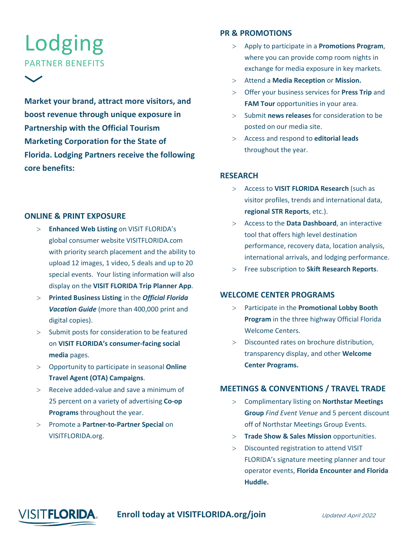# Lodging PARTNER BENEFITS

**Market your brand, attract more visitors, and boost revenue through unique exposure in Partnership with the Official Tourism Marketing Corporation for the State of Florida. Lodging Partners receive the following core benefits:** 

#### **ONLINE & PRINT EXPOSURE**

- > **Enhanced Web Listing** on VISIT FLORIDA's global consumer website VISITFLORIDA.com with priority search placement and the ability to upload 12 images, 1 video, 5 deals and up to 20 special events. Your listing information will also display on the **VISIT FLORIDA Trip Planner App**.
- > **Printed Business Listing** in the *Official Florida Vacation Guide* (more than 400,000 print and digital copies).
- > Submit posts for consideration to be featured on **VISIT FLORIDA's consumer-facing social media** pages.
- > Opportunity to participate in seasonal **Online Travel Agent (OTA) Campaigns**.
- > Receive added-value and save a minimum of 25 percent on a variety of advertising **Co-op Programs** throughout the year.
- > Promote a **Partner-to-Partner Special** on VISITFLORIDA.org.

#### **PR & PROMOTIONS**

- > Apply to participate in a **Promotions Program**, where you can provide comp room nights in exchange for media exposure in key markets.
- > Attend a **Media Reception** or **Mission.**
- > Offer your business services for **Press Trip** and **FAM Tour** opportunities in your area.
- > Submit **news releases** for consideration to be posted on our media site.
- > Access and respond to **editorial leads** throughout the year.

#### **RESEARCH**

- > Access to **VISIT FLORIDA Research** (such as visitor profiles, trends and international data, **regional STR Reports**, etc.).
- > Access to the **Data Dashboard**, an interactive tool that offers high level destination performance, recovery data, location analysis, international arrivals, and lodging performance.
- > Free subscription to **Skift Research Reports**.

#### **WELCOME CENTER PROGRAMS**

- > Participate in the **Promotional Lobby Booth Program** in the three highway Official Florida Welcome Centers.
- > Discounted rates on brochure distribution, transparency display, and other **Welcome Center Programs.**

#### **MEETINGS & CONVENTIONS / TRAVEL TRADE**

- > Complimentary listing on **Northstar Meetings Group** *Find Event Venue* and 5 percent discount off of Northstar Meetings Group Events.
- > **Trade Show & Sales Mission** opportunities.
- > Discounted registration to attend VISIT FLORIDA's signature meeting planner and tour operator events, **Florida Encounter and Florida Huddle.**



### **Enroll today at VISITFLORIDA.org/join** *Updated April 2022*